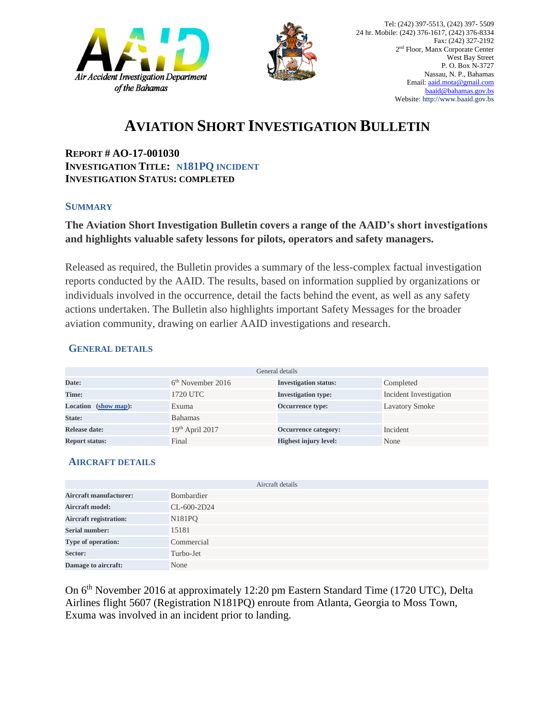



## **AVIATION SHORT INVESTIGATION BULLETIN**

**REPORT # AO-17-001030 INVESTIGATION TITLE: N181PQ INCIDENT INVESTIGATION STATUS: COMPLETED**

#### **SUMMARY**

### **The Aviation Short Investigation Bulletin covers a range of the AAID's short investigations and highlights valuable safety lessons for pilots, operators and safety managers.**

Released as required, the Bulletin provides a summary of the less-complex factual investigation reports conducted by the AAID. The results, based on information supplied by organizations or individuals involved in the occurrence, detail the facts behind the event, as well as any safety actions undertaken. The Bulletin also highlights important Safety Messages for the broader aviation community, drawing on earlier AAID investigations and research.

#### **GENERAL DETAILS**

| General details       |                     |                              |                        |
|-----------------------|---------------------|------------------------------|------------------------|
| Date:                 | $6th$ November 2016 | <b>Investigation status:</b> | Completed              |
| Time:                 | 1720 UTC            | <b>Investigation type:</b>   | Incident Investigation |
| Location (show map):  | Exuma               | <b>Occurrence type:</b>      | <b>Lavatory Smoke</b>  |
| State:                | <b>Bahamas</b>      |                              |                        |
| Release date:         | $19th$ April 2017   | <b>Occurrence category:</b>  | Incident               |
| <b>Report status:</b> | Final               | <b>Highest injury level:</b> | None                   |

#### **AIRCRAFT DETAILS**

|                               | Aircraft details    |
|-------------------------------|---------------------|
| <b>Aircraft manufacturer:</b> | Bombardier          |
| <b>Aircraft model:</b>        | CL-600-2D24         |
| <b>Aircraft registration:</b> | N <sub>18</sub> 1PQ |
| <b>Serial number:</b>         | 15181               |
| Type of operation:            | Commercial          |
| Sector:                       | Turbo-Jet           |
| Damage to aircraft:           | None                |

On 6<sup>th</sup> November 2016 at approximately 12:20 pm Eastern Standard Time (1720 UTC), Delta Airlines flight 5607 (Registration N181PQ) enroute from Atlanta, Georgia to Moss Town, Exuma was involved in an incident prior to landing.